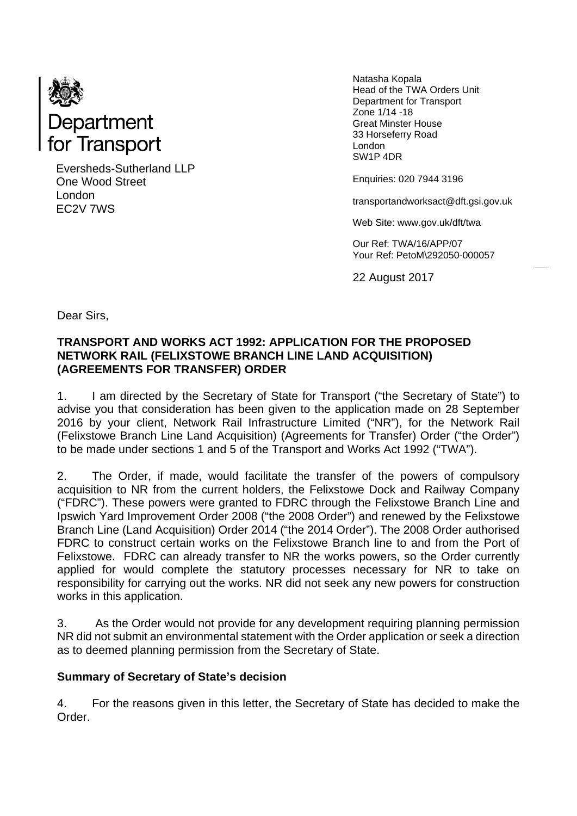

Eversheds-Sutherland LLP One Wood Street London EC2V 7WS

Natasha Kopala Head of the TWA Orders Unit Department for Transport Zone 1/14 -18 Great Minster House 33 Horseferry Road London SW1P 4DR

Enquiries: 020 7944 3196

transportandworksact@dft.gsi.gov.uk

Web Site: www.gov.uk/dft/twa

Our Ref: TWA/16/APP/07 Your Ref: PetoM\292050-000057

22 August 2017

Dear Sirs,

#### **TRANSPORT AND WORKS ACT 1992: APPLICATION FOR THE PROPOSED NETWORK RAIL (FELIXSTOWE BRANCH LINE LAND ACQUISITION) (AGREEMENTS FOR TRANSFER) ORDER**

1. I am directed by the Secretary of State for Transport ("the Secretary of State") to advise you that consideration has been given to the application made on 28 September 2016 by your client, Network Rail Infrastructure Limited ("NR"), for the Network Rail (Felixstowe Branch Line Land Acquisition) (Agreements for Transfer) Order ("the Order") to be made under sections 1 and 5 of the Transport and Works Act 1992 ("TWA").

2. The Order, if made, would facilitate the transfer of the powers of compulsory acquisition to NR from the current holders, the Felixstowe Dock and Railway Company ("FDRC"). These powers were granted to FDRC through the Felixstowe Branch Line and Ipswich Yard Improvement Order 2008 ("the 2008 Order") and renewed by the Felixstowe Branch Line (Land Acquisition) Order 2014 ("the 2014 Order"). The 2008 Order authorised FDRC to construct certain works on the Felixstowe Branch line to and from the Port of Felixstowe. FDRC can already transfer to NR the works powers, so the Order currently applied for would complete the statutory processes necessary for NR to take on responsibility for carrying out the works. NR did not seek any new powers for construction works in this application.

3. As the Order would not provide for any development requiring planning permission NR did not submit an environmental statement with the Order application or seek a direction as to deemed planning permission from the Secretary of State.

#### **Summary of Secretary of State's decision**

4. For the reasons given in this letter, the Secretary of State has decided to make the Order.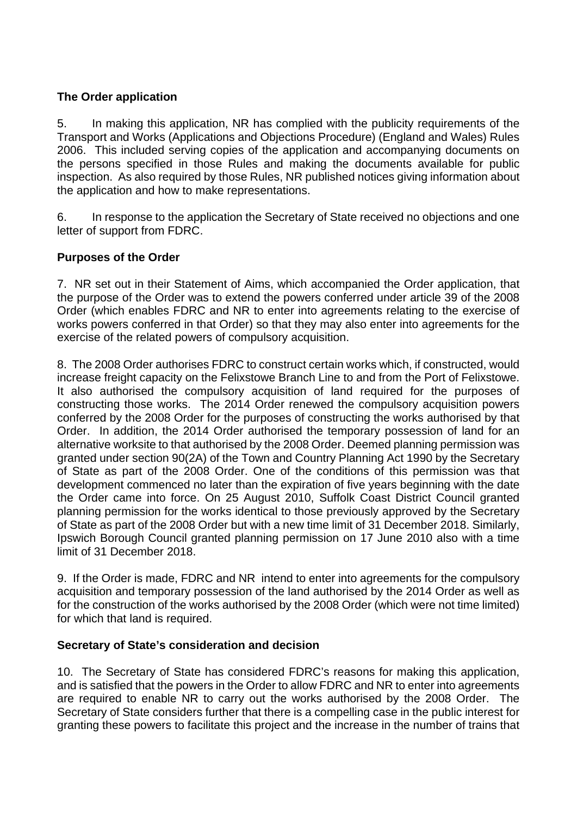# **The Order application**

5. In making this application, NR has complied with the publicity requirements of the Transport and Works (Applications and Objections Procedure) (England and Wales) Rules 2006. This included serving copies of the application and accompanying documents on the persons specified in those Rules and making the documents available for public inspection. As also required by those Rules, NR published notices giving information about the application and how to make representations.

6. In response to the application the Secretary of State received no objections and one letter of support from FDRC.

# **Purposes of the Order**

7. NR set out in their Statement of Aims, which accompanied the Order application, that the purpose of the Order was to extend the powers conferred under article 39 of the 2008 Order (which enables FDRC and NR to enter into agreements relating to the exercise of works powers conferred in that Order) so that they may also enter into agreements for the exercise of the related powers of compulsory acquisition.

8. The 2008 Order authorises FDRC to construct certain works which, if constructed, would increase freight capacity on the Felixstowe Branch Line to and from the Port of Felixstowe. It also authorised the compulsory acquisition of land required for the purposes of constructing those works. The 2014 Order renewed the compulsory acquisition powers conferred by the 2008 Order for the purposes of constructing the works authorised by that Order. In addition, the 2014 Order authorised the temporary possession of land for an alternative worksite to that authorised by the 2008 Order. Deemed planning permission was granted under section 90(2A) of the Town and Country Planning Act 1990 by the Secretary of State as part of the 2008 Order. One of the conditions of this permission was that development commenced no later than the expiration of five years beginning with the date the Order came into force. On 25 August 2010, Suffolk Coast District Council granted planning permission for the works identical to those previously approved by the Secretary of State as part of the 2008 Order but with a new time limit of 31 December 2018. Similarly, Ipswich Borough Council granted planning permission on 17 June 2010 also with a time limit of 31 December 2018.

9. If the Order is made, FDRC and NR intend to enter into agreements for the compulsory acquisition and temporary possession of the land authorised by the 2014 Order as well as for the construction of the works authorised by the 2008 Order (which were not time limited) for which that land is required.

# **Secretary of State's consideration and decision**

10. The Secretary of State has considered FDRC's reasons for making this application, and is satisfied that the powers in the Order to allow FDRC and NR to enter into agreements are required to enable NR to carry out the works authorised by the 2008 Order. The Secretary of State considers further that there is a compelling case in the public interest for granting these powers to facilitate this project and the increase in the number of trains that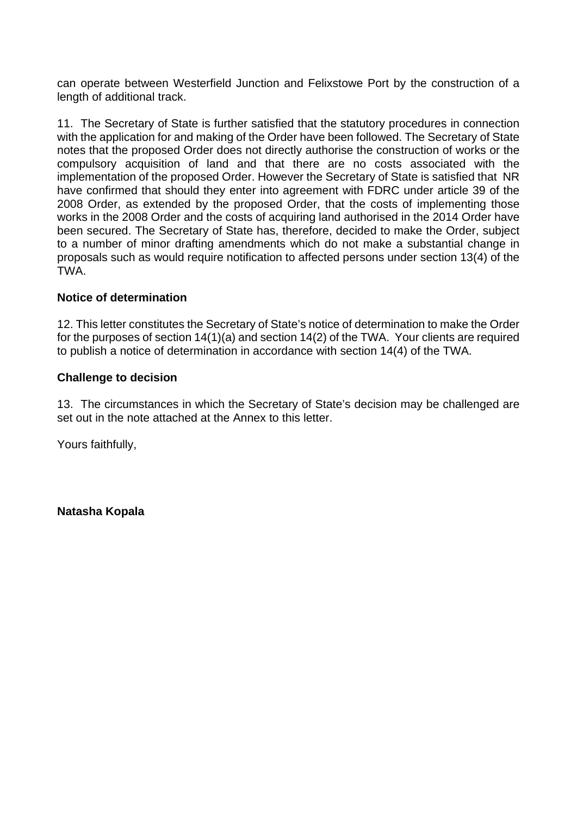can operate between Westerfield Junction and Felixstowe Port by the construction of a length of additional track.

11. The Secretary of State is further satisfied that the statutory procedures in connection with the application for and making of the Order have been followed. The Secretary of State notes that the proposed Order does not directly authorise the construction of works or the compulsory acquisition of land and that there are no costs associated with the implementation of the proposed Order. However the Secretary of State is satisfied that NR have confirmed that should they enter into agreement with FDRC under article 39 of the 2008 Order, as extended by the proposed Order, that the costs of implementing those works in the 2008 Order and the costs of acquiring land authorised in the 2014 Order have been secured. The Secretary of State has, therefore, decided to make the Order, subject to a number of minor drafting amendments which do not make a substantial change in proposals such as would require notification to affected persons under section 13(4) of the TWA.

### **Notice of determination**

12. This letter constitutes the Secretary of State's notice of determination to make the Order for the purposes of section 14(1)(a) and section 14(2) of the TWA. Your clients are required to publish a notice of determination in accordance with section 14(4) of the TWA.

#### **Challenge to decision**

13. The circumstances in which the Secretary of State's decision may be challenged are set out in the note attached at the Annex to this letter.

Yours faithfully,

**Natasha Kopala**